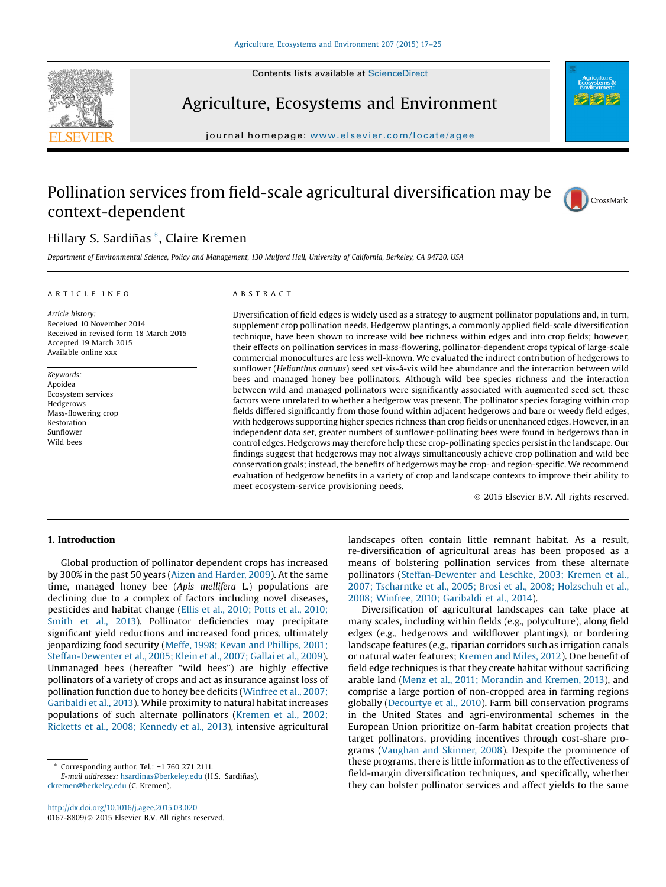

Agriculture, Ecosystems and Environment

journal homepage: <www.elsevier.com/locate/agee>s/ $\frac{1}{2}$ 

# Pollination services from field-scale agricultural diversification may be context-dependent



## Hillary S. Sardiñas \*, Claire Kremen

Department of Environmental Science, Policy and Management, 130 Mulford Hall, University of California, Berkeley, CA 94720, USA

## A R T I C L E I N E O

Article history: Received 10 November 2014 Received in revised form 18 March 2015 Accepted 19 March 2015 Available online xxx

Keywords: Apoidea Ecosystem services Hedgerows Mass-flowering crop Restoration Sunflower Wild bees

## A B S T R A C T

Diversification of field edges is widely used as a strategy to augment pollinator populations and, in turn, supplement crop pollination needs. Hedgerow plantings, a commonly applied field-scale diversification technique, have been shown to increase wild bee richness within edges and into crop fields; however, their effects on pollination services in mass-flowering, pollinator-dependent crops typical of large-scale commercial monocultures are less well-known. We evaluated the indirect contribution of hedgerows to sunflower (Helianthus annuus) seed set vis-á-vis wild bee abundance and the interaction between wild bees and managed honey bee pollinators. Although wild bee species richness and the interaction between wild and managed pollinators were significantly associated with augmented seed set, these factors were unrelated to whether a hedgerow was present. The pollinator species foraging within crop fields differed significantly from those found within adjacent hedgerows and bare or weedy field edges, with hedgerows supporting higher species richness than crop fields or unenhanced edges. However, in an independent data set, greater numbers of sunflower-pollinating bees were found in hedgerows than in control edges. Hedgerows may therefore help these crop-pollinating species persist in the landscape. Our findings suggest that hedgerows may not always simultaneously achieve crop pollination and wild bee conservation goals; instead, the benefits of hedgerows may be crop- and region-specific. We recommend evaluation of hedgerow benefits in a variety of crop and landscape contexts to improve their ability to meet ecosystem-service provisioning needs.

 $©$  2015 Elsevier B.V. All rights reserved.

## 1. Introduction

Global production of pollinator dependent crops has increased by 300% in the past 50 years (Aizen and [Harder,](#page-7-0) 2009). At the same time, managed honey bee (Apis mellifera L.) populations are declining due to a complex of factors including novel diseases, pesticides and habitat change (Ellis et al., [2010;](#page-7-0) Potts et al., 2010; [Smith](#page-7-0) et al., 2013). Pollinator deficiencies may precipitate significant yield reductions and increased food prices, ultimately jeopardizing food security (Meffe, 1998; Kevan and [Phillips,](#page-7-0) 2001; [Steffan-Dewenter](#page-7-0) et al., 2005; Klein et al., 2007; Gallai et al., 2009). Unmanaged bees (hereafter "wild bees") are highly effective pollinators of a variety of crops and act as insurance against loss of pollination function due to honey bee deficits [\(Winfree](#page-8-0) et al., 2007; [Garibaldi](#page-8-0) et al., 2013). While proximity to natural habitat increases populations of such alternate pollinators [\(Kremen](#page-7-0) et al., 2002; Ricketts et al., 2008; [Kennedy](#page-7-0) et al., 2013), intensive agricultural

Corresponding author. Tel.: +1 760 271 2111.

E-mail addresses: [hsardinas@berkeley.edu](mailto:hsardinas@berkeley.edu) (H.S. Sardiñas), [ckremen@berkeley.edu](mailto:ckremen@berkeley.edu) (C. Kremen).

<http://dx.doi.org/10.1016/j.agee.2015.03.020> 0167-8809/ $\circ$  2015 Elsevier B.V. All rights reserved. landscapes often contain little remnant habitat. As a result, re-diversification of agricultural areas has been proposed as a means of bolstering pollination services from these alternate pollinators [\(Steffan-Dewenter](#page-8-0) and Leschke, 2003; Kremen et al., 2007; [Tscharntke](#page-8-0) et al., 2005; Brosi et al., 2008; Holzschuh et al., 2008; Winfree, 2010; [Garibaldi](#page-8-0) et al., 2014).

Diversification of agricultural landscapes can take place at many scales, including within fields (e.g., polyculture), along field edges (e.g., hedgerows and wildflower plantings), or bordering landscape features (e.g., riparian corridors such as irrigation canals or natural water features; [Kremen](#page-7-0) and Miles, 2012). One benefit of field edge techniques is that they create habitat without sacrificing arable land (Menz et al., 2011; [Morandin](#page-7-0) and Kremen, 2013), and comprise a large portion of non-cropped area in farming regions globally [\(Decourtye](#page-7-0) et al., 2010). Farm bill conservation programs in the United States and agri-environmental schemes in the European Union prioritize on-farm habitat creation projects that target pollinators, providing incentives through cost-share programs [\(Vaughan](#page-8-0) and Skinner, 2008). Despite the prominence of these programs, there is little information as to the effectiveness of field-margin diversification techniques, and specifically, whether they can bolster pollinator services and affect yields to the same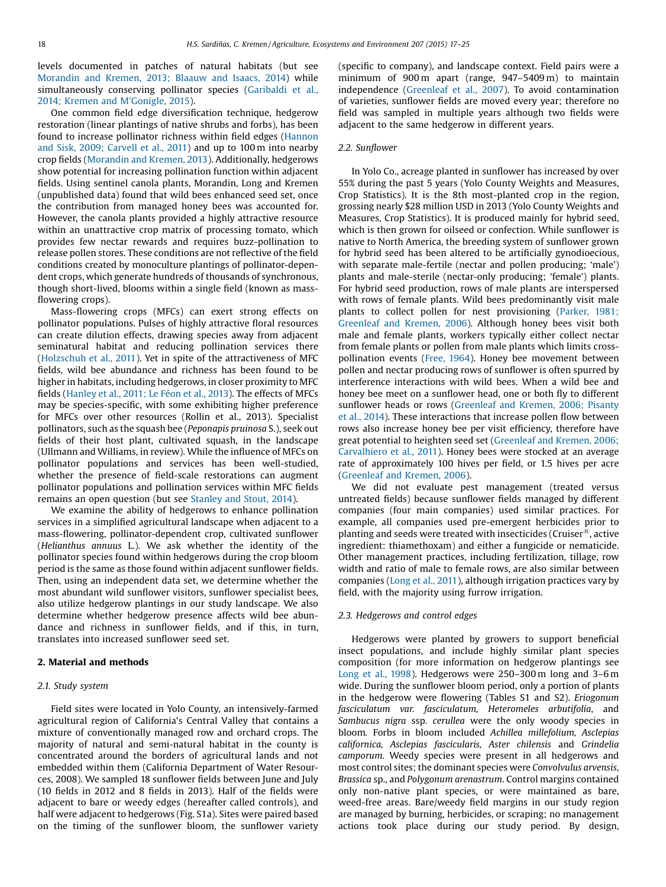levels documented in patches of natural habitats (but see [Morandin](#page-7-0) and Kremen, 2013; Blaauw and Isaacs, 2014) while simultaneously conserving pollinator species ([Garibaldi](#page-7-0) et al., 2014; Kremen and M'[Gonigle,](#page-7-0) 2015).

One common field edge diversification technique, hedgerow restoration (linear plantings of native shrubs and forbs), has been found to increase pollinator richness within field edges [\(Hannon](#page-7-0) and Sisk, 2009; [Carvell](#page-7-0) et al., 2011) and up to 100 m into nearby crop fields [\(Morandin](#page-7-0) and Kremen, 2013). Additionally, hedgerows show potential for increasing pollination function within adjacent fields. Using sentinel canola plants, Morandin, Long and Kremen (unpublished data) found that wild bees enhanced seed set, once the contribution from managed honey bees was accounted for. However, the canola plants provided a highly attractive resource within an unattractive crop matrix of processing tomato, which provides few nectar rewards and requires buzz-pollination to release pollen stores. These conditions are not reflective of the field conditions created by monoculture plantings of pollinator-dependent crops, which generate hundreds of thousands of synchronous, though short-lived, blooms within a single field (known as massflowering crops).

Mass-flowering crops (MFCs) can exert strong effects on pollinator populations. Pulses of highly attractive floral resources can create dilution effects, drawing species away from adjacent seminatural habitat and reducing pollination services there ([Holzschuh](#page-7-0) et al., 2011). Yet in spite of the attractiveness of MFC fields, wild bee abundance and richness has been found to be higher in habitats, including hedgerows, in closer proximity to MFC fields [\(Hanley](#page-7-0) et al., 2011; Le Féon et al., 2013). The effects of MFCs may be species-specific, with some exhibiting higher preference for MFCs over other resources (Rollin et al., 2013). Specialist pollinators, such as the squash bee (Peponapis pruinosa S.), seek out fields of their host plant, cultivated squash, in the landscape (Ullmann and Williams, in review). While the influence of MFCs on pollinator populations and services has been well-studied, whether the presence of field-scale restorations can augment pollinator populations and pollination services within MFC fields remains an open question (but see [Stanley](#page-8-0) and Stout, 2014).

We examine the ability of hedgerows to enhance pollination services in a simplified agricultural landscape when adjacent to a mass-flowering, pollinator-dependent crop, cultivated sunflower (Helianthus annuus L.). We ask whether the identity of the pollinator species found within hedgerows during the crop bloom period is the same as those found within adjacent sunflower fields. Then, using an independent data set, we determine whether the most abundant wild sunflower visitors, sunflower specialist bees, also utilize hedgerow plantings in our study landscape. We also determine whether hedgerow presence affects wild bee abundance and richness in sunflower fields, and if this, in turn, translates into increased sunflower seed set.

## 2. Material and methods

## 2.1. Study system

Field sites were located in Yolo County, an intensively-farmed agricultural region of California's Central Valley that contains a mixture of conventionally managed row and orchard crops. The majority of natural and semi-natural habitat in the county is concentrated around the borders of agricultural lands and not embedded within them (California Department of Water Resources, 2008). We sampled 18 sunflower fields between June and July (10 fields in 2012 and 8 fields in 2013). Half of the fields were adjacent to bare or weedy edges (hereafter called controls), and half were adjacent to hedgerows (Fig. S1a). Sites were paired based on the timing of the sunflower bloom, the sunflower variety (specific to company), and landscape context. Field pairs were a minimum of 900m apart (range, 947–5409m) to maintain independence ([Greenleaf](#page-7-0) et al., 2007). To avoid contamination of varieties, sunflower fields are moved every year; therefore no field was sampled in multiple years although two fields were adjacent to the same hedgerow in different years.

## 2.2. Sunflower

In Yolo Co., acreage planted in sunflower has increased by over 55% during the past 5 years (Yolo County Weights and Measures, Crop Statistics). It is the 8th most-planted crop in the region, grossing nearly \$28 million USD in 2013 (Yolo County Weights and Measures, Crop Statistics). It is produced mainly for hybrid seed, which is then grown for oilseed or confection. While sunflower is native to North America, the breeding system of sunflower grown for hybrid seed has been altered to be artificially gynodioecious, with separate male-fertile (nectar and pollen producing; 'male') plants and male-sterile (nectar-only producing; 'female') plants. For hybrid seed production, rows of male plants are interspersed with rows of female plants. Wild bees predominantly visit male plants to collect pollen for nest provisioning ([Parker,](#page-7-0) 1981; [Greenleaf](#page-7-0) and Kremen, 2006). Although honey bees visit both male and female plants, workers typically either collect nectar from female plants or pollen from male plants which limits crosspollination events (Free, [1964](#page-7-0)). Honey bee movement between pollen and nectar producing rows of sunflower is often spurred by interference interactions with wild bees. When a wild bee and honey bee meet on a sunflower head, one or both fly to different sunflower heads or rows ([Greenleaf](#page-7-0) and Kremen, 2006; Pisanty et al., [2014\)](#page-7-0). These interactions that increase pollen flow between rows also increase honey bee per visit efficiency, therefore have great potential to heighten seed set [\(Greenleaf](#page-7-0) and Kremen, 2006; [Carvalhiero](#page-7-0) et al., 2011). Honey bees were stocked at an average rate of approximately 100 hives per field, or 1.5 hives per acre ([Greenleaf](#page-7-0) and Kremen, 2006).

We did not evaluate pest management (treated versus untreated fields) because sunflower fields managed by different companies (four main companies) used similar practices. For example, all companies used pre-emergent herbicides prior to planting and seeds were treated with insecticides (Cruiser $^{\text{\tiny{(B)}}}$ , active ingredient: thiamethoxam) and either a fungicide or nematicide. Other management practices, including fertilization, tillage, row width and ratio of male to female rows, are also similar between companies ([Long](#page-7-0) et al., 2011), although irrigation practices vary by field, with the majority using furrow irrigation.

## 2.3. Hedgerows and control edges

Hedgerows were planted by growers to support beneficial insect populations, and include highly similar plant species composition (for more information on hedgerow plantings see Long et al., [1998](#page-7-0)). Hedgerows were 250–300 m long and 3–6 m wide. During the sunflower bloom period, only a portion of plants in the hedgerow were flowering (Tables S1 and S2). Eriogonum fasciculatum var. fasciculatum, Heteromeles arbutifolia, and Sambucus nigra ssp. cerullea were the only woody species in bloom. Forbs in bloom included Achillea millefolium, Asclepias californica, Asclepias fascicularis, Aster chilensis and Grindelia camporum. Weedy species were present in all hedgerows and most control sites; the dominant species were Convolvulus arvensis, Brassica sp., and Polygonum arenastrum. Control margins contained only non-native plant species, or were maintained as bare, weed-free areas. Bare/weedy field margins in our study region are managed by burning, herbicides, or scraping; no management actions took place during our study period. By design,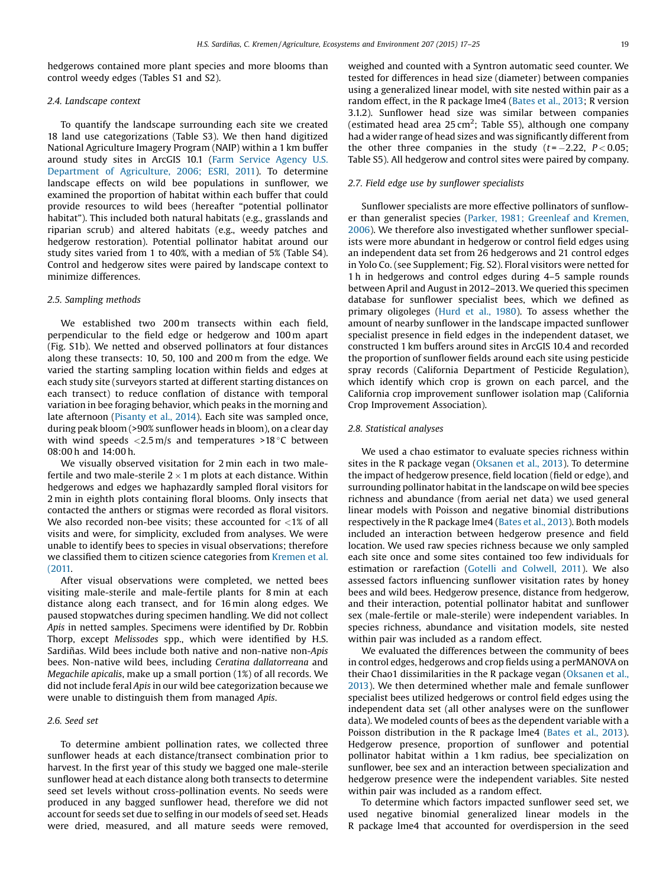hedgerows contained more plant species and more blooms than control weedy edges (Tables S1 and S2).

## 2.4. Landscape context

To quantify the landscape surrounding each site we created 18 land use categorizations (Table S3). We then hand digitized National Agriculture Imagery Program (NAIP) within a 1 km buffer around study sites in ArcGIS 10.1 (Farm Service [Agency](#page-7-0) U.S. [Department](#page-7-0) of Agriculture, 2006; ESRI, 2011). To determine landscape effects on wild bee populations in sunflower, we examined the proportion of habitat within each buffer that could provide resources to wild bees (hereafter "potential pollinator habitat"). This included both natural habitats (e.g., grasslands and riparian scrub) and altered habitats (e.g., weedy patches and hedgerow restoration). Potential pollinator habitat around our study sites varied from 1 to 40%, with a median of 5% (Table S4). Control and hedgerow sites were paired by landscape context to minimize differences.

## 2.5. Sampling methods

We established two 200m transects within each field, perpendicular to the field edge or hedgerow and 100 m apart (Fig. S1b). We netted and observed pollinators at four distances along these transects: 10, 50, 100 and 200 m from the edge. We varied the starting sampling location within fields and edges at each study site (surveyors started at different starting distances on each transect) to reduce conflation of distance with temporal variation in bee foraging behavior, which peaks in the morning and late afternoon ([Pisanty](#page-8-0) et al., 2014). Each site was sampled once, during peak bloom (>90% sunflower heads in bloom), on a clear day with wind speeds  $\langle 2.5 \text{ m/s} \rangle$  and temperatures  $>18 \degree C$  between 08:00 h and 14:00 h.

We visually observed visitation for 2 min each in two malefertile and two male-sterile  $2 \times 1$  m plots at each distance. Within hedgerows and edges we haphazardly sampled floral visitors for 2 min in eighth plots containing floral blooms. Only insects that contacted the anthers or stigmas were recorded as floral visitors. We also recorded non-bee visits; these accounted for  $\langle 1\%$  of all visits and were, for simplicity, excluded from analyses. We were unable to identify bees to species in visual observations; therefore we classified them to citizen science categories from [Kremen](#page-7-0) et al. [\(2011.](#page-7-0)

After visual observations were completed, we netted bees visiting male-sterile and male-fertile plants for 8 min at each distance along each transect, and for 16 min along edges. We paused stopwatches during specimen handling. We did not collect Apis in netted samples. Specimens were identified by Dr. Robbin Thorp, except Melissodes spp., which were identified by H.S. Sardiñas. Wild bees include both native and non-native non-Apis bees. Non-native wild bees, including Ceratina dallatorreana and Megachile apicalis, make up a small portion (1%) of all records. We did not include feral Apis in our wild bee categorization because we were unable to distinguish them from managed Apis.

## 2.6. Seed set

To determine ambient pollination rates, we collected three sunflower heads at each distance/transect combination prior to harvest. In the first year of this study we bagged one male-sterile sunflower head at each distance along both transects to determine seed set levels without cross-pollination events. No seeds were produced in any bagged sunflower head, therefore we did not account for seeds set due to selfing in our models of seed set. Heads were dried, measured, and all mature seeds were removed, weighed and counted with a Syntron automatic seed counter. We tested for differences in head size (diameter) between companies using a generalized linear model, with site nested within pair as a random effect, in the R package lme4 [\(Bates](#page-7-0) et al., 2013; R version 3.1.2). Sunflower head size was similar between companies (estimated head area  $25 \text{ cm}^2$ ; Table S5), although one company had a wider range of head sizes and was significantly different from the other three companies in the study  $(t = -2.22, P < 0.05)$ ; Table S5). All hedgerow and control sites were paired by company.

## 2.7. Field edge use by sunflower specialists

Sunflower specialists are more effective pollinators of sunflower than generalist species (Parker, 1981; [Greenleaf](#page-7-0) and Kremen, [2006](#page-7-0)). We therefore also investigated whether sunflower specialists were more abundant in hedgerow or control field edges using an independent data set from 26 hedgerows and 21 control edges in Yolo Co. (see Supplement; Fig. S2). Floral visitors were netted for 1 h in hedgerows and control edges during 4–5 sample rounds between April and August in 2012–2013. We queried this specimen database for sunflower specialist bees, which we defined as primary oligoleges [\(Hurd](#page-7-0) et al., 1980). To assess whether the amount of nearby sunflower in the landscape impacted sunflower specialist presence in field edges in the independent dataset, we constructed 1 km buffers around sites in ArcGIS 10.4 and recorded the proportion of sunflower fields around each site using pesticide spray records (California Department of Pesticide Regulation), which identify which crop is grown on each parcel, and the California crop improvement sunflower isolation map (California Crop Improvement Association).

#### 2.8. Statistical analyses

We used a chao estimator to evaluate species richness within sites in the R package vegan [\(Oksanen](#page-7-0) et al., 2013). To determine the impact of hedgerow presence, field location (field or edge), and surrounding pollinator habitat in the landscape on wild bee species richness and abundance (from aerial net data) we used general linear models with Poisson and negative binomial distributions respectively in the R package lme4 [\(Bates](#page-7-0) et al., 2013). Both models included an interaction between hedgerow presence and field location. We used raw species richness because we only sampled each site once and some sites contained too few individuals for estimation or rarefaction (Gotelli and [Colwell,](#page-7-0) 2011). We also assessed factors influencing sunflower visitation rates by honey bees and wild bees. Hedgerow presence, distance from hedgerow, and their interaction, potential pollinator habitat and sunflower sex (male-fertile or male-sterile) were independent variables. In species richness, abundance and visitation models, site nested within pair was included as a random effect.

We evaluated the differences between the community of bees in control edges, hedgerows and crop fields using a perMANOVA on their Chao1 dissimilarities in the R package vegan ([Oksanen](#page-7-0) et al., [2013](#page-7-0)). We then determined whether male and female sunflower specialist bees utilized hedgerows or control field edges using the independent data set (all other analyses were on the sunflower data). We modeled counts of bees as the dependent variable with a Poisson distribution in the R package lme4 [\(Bates](#page-7-0) et al., 2013). Hedgerow presence, proportion of sunflower and potential pollinator habitat within a 1 km radius, bee specialization on sunflower, bee sex and an interaction between specialization and hedgerow presence were the independent variables. Site nested within pair was included as a random effect.

To determine which factors impacted sunflower seed set, we used negative binomial generalized linear models in the R package lme4 that accounted for overdispersion in the seed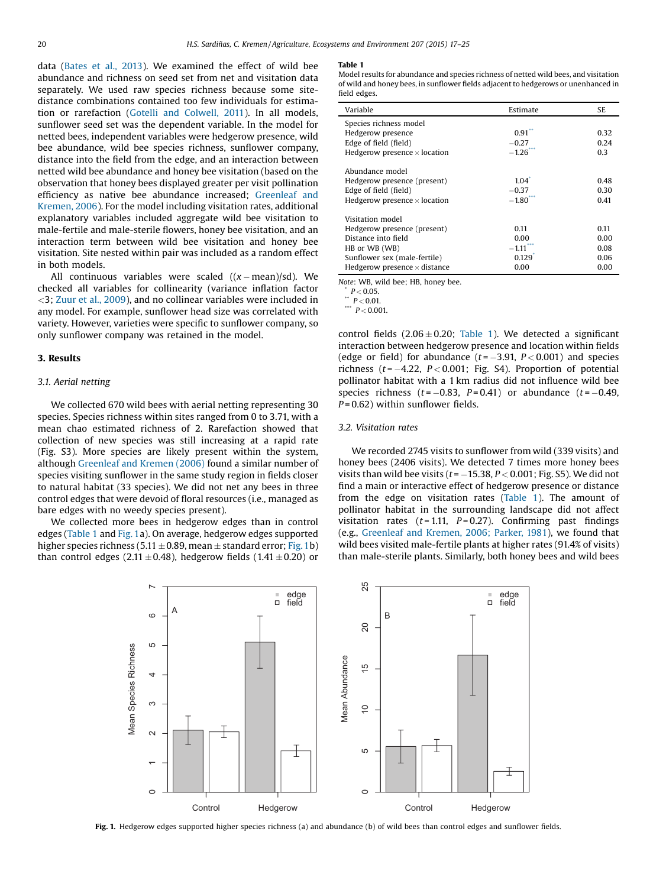data ([Bates](#page-7-0) et al., 2013). We examined the effect of wild bee abundance and richness on seed set from net and visitation data separately. We used raw species richness because some sitedistance combinations contained too few individuals for estimation or rarefaction (Gotelli and [Colwell,](#page-7-0) 2011). In all models, sunflower seed set was the dependent variable. In the model for netted bees, independent variables were hedgerow presence, wild bee abundance, wild bee species richness, sunflower company, distance into the field from the edge, and an interaction between netted wild bee abundance and honey bee visitation (based on the observation that honey bees displayed greater per visit pollination efficiency as native bee abundance increased; [Greenleaf](#page-7-0) and [Kremen,](#page-7-0) 2006). For the model including visitation rates, additional explanatory variables included aggregate wild bee visitation to male-fertile and male-sterile flowers, honey bee visitation, and an interaction term between wild bee visitation and honey bee visitation. Site nested within pair was included as a random effect in both models.

All continuous variables were scaled  $((x - mean)/sd)$ . We checked all variables for collinearity (variance inflation factor <3; Zuur et al., [2009](#page-8-0)), and no collinear variables were included in any model. For example, sunflower head size was correlated with variety. However, varieties were specific to sunflower company, so only sunflower company was retained in the model.

## 3. Results

## 3.1. Aerial netting

We collected 670 wild bees with aerial netting representing 30 species. Species richness within sites ranged from 0 to 3.71, with a mean chao estimated richness of 2. Rarefaction showed that collection of new species was still increasing at a rapid rate (Fig. S3). More species are likely present within the system, although [Greenleaf](#page-7-0) and Kremen (2006) found a similar number of species visiting sunflower in the same study region in fields closer to natural habitat (33 species). We did not net any bees in three control edges that were devoid of floral resources (i.e., managed as bare edges with no weedy species present).

We collected more bees in hedgerow edges than in control edges (Table 1 and Fig. 1a). On average, hedgerow edges supported higher species richness (5.11  $\pm$  0.89, mean  $\pm$  standard error; Fig. 1b) than control edges (2.11 $\pm$ 0.48), hedgerow fields (1.41 $\pm$ 0.20) or

#### Table 1

Model results for abundance and species richness of netted wild bees, and visitation of wild and honey bees, in sunflower fields adjacent to hedgerows or unenhanced in field edges.

| Variable                            | Estimate              | SE.  |
|-------------------------------------|-----------------------|------|
| Species richness model              |                       |      |
| Hedgerow presence                   | $0.91$ <sup>**</sup>  | 0.32 |
| Edge of field (field)               | $-0.27$               | 0.24 |
| Hedgerow presence $\times$ location | $-1.26$               | 0.3  |
| Abundance model                     |                       |      |
| Hedgerow presence (present)         | 1.04                  | 0.48 |
| Edge of field (field)               | $-0.37$               | 0.30 |
| Hedgerow presence $\times$ location | $-1.80$ <sup>**</sup> | 0.41 |
| Visitation model                    |                       |      |
| Hedgerow presence (present)         | 0.11                  | 0.11 |
| Distance into field                 | 0.00                  | 0.00 |
| HB or WB (WB)                       | $-1.11$               | 0.08 |
| Sunflower sex (male-fertile)        | $0.129$ <sup>*</sup>  | 0.06 |
| Hedgerow presence $\times$ distance | 0.00                  | 0.00 |

Note: WB, wild bee; HB, honey bee.

 $P < 0.05$ .

 $P < 0.01$ .

\*\*\*  $P < 0.001$ .

control fields  $(2.06 \pm 0.20;$  Table 1). We detected a significant interaction between hedgerow presence and location within fields (edge or field) for abundance  $(t = -3.91, P < 0.001)$  and species richness ( $t = -4.22$ ,  $P < 0.001$ ; Fig. S4). Proportion of potential pollinator habitat with a 1 km radius did not influence wild bee species richness  $(t = -0.83, P = 0.41)$  or abundance  $(t = -0.49,$  $P = 0.62$ ) within sunflower fields.

## 3.2. Visitation rates

We recorded 2745 visits to sunflower from wild (339 visits) and honey bees (2406 visits). We detected 7 times more honey bees visits than wild bee visits ( $t = -15.38$ ,  $P < 0.001$ ; Fig. S5). We did not find a main or interactive effect of hedgerow presence or distance from the edge on visitation rates (Table 1). The amount of pollinator habitat in the surrounding landscape did not affect visitation rates  $(t = 1.11, P = 0.27)$ . Confirming past findings (e.g., [Greenleaf](#page-7-0) and Kremen, 2006; Parker, 1981), we found that wild bees visited male-fertile plants at higher rates (91.4% of visits) than male-sterile plants. Similarly, both honey bees and wild bees



Fig. 1. Hedgerow edges supported higher species richness (a) and abundance (b) of wild bees than control edges and sunflower fields.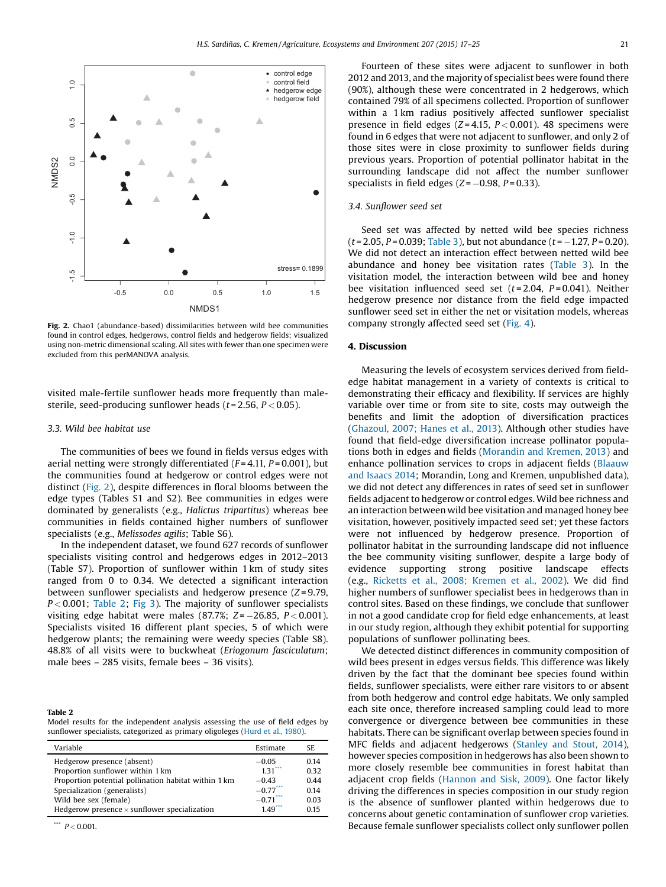

Fig. 2. Chao1 (abundance-based) dissimilarities between wild bee communities found in control edges, hedgerows, control fields and hedgerow fields; visualized using non-metric dimensional scaling. All sites with fewer than one specimen were excluded from this perMANOVA analysis.

visited male-fertile sunflower heads more frequently than malesterile, seed-producing sunflower heads ( $t = 2.56$ ,  $P < 0.05$ ).

## 3.3. Wild bee habitat use

The communities of bees we found in fields versus edges with aerial netting were strongly differentiated  $(F = 4.11, P = 0.001)$ , but the communities found at hedgerow or control edges were not distinct (Fig. 2), despite differences in floral blooms between the edge types (Tables S1 and S2). Bee communities in edges were dominated by generalists (e.g., Halictus tripartitus) whereas bee communities in fields contained higher numbers of sunflower specialists (e.g., Melissodes agilis; Table S6).

In the independent dataset, we found 627 records of sunflower specialists visiting control and hedgerows edges in 2012–2013 (Table S7). Proportion of sunflower within 1 km of study sites ranged from 0 to 0.34. We detected a significant interaction between sunflower specialists and hedgerow presence  $(Z = 9.79,$  $P < 0.001$ ; Table 2; [Fig](#page-5-0) 3). The majority of sunflower specialists visiting edge habitat were males (87.7%;  $Z = -26.85$ ,  $P < 0.001$ ). Specialists visited 16 different plant species, 5 of which were hedgerow plants; the remaining were weedy species (Table S8). 48.8% of all visits were to buckwheat (Eriogonum fasciculatum; male bees – 285 visits, female bees – 36 visits).

#### Table 2

Model results for the independent analysis assessing the use of field edges by sunflower specialists, categorized as primary oligoleges [\(Hurd](#page-7-0) et al., 1980).

| Variable                                             | Estimate  | SE.  |
|------------------------------------------------------|-----------|------|
| Hedgerow presence (absent)                           | $-0.05$   | 014  |
| Proportion sunflower within 1 km                     | 131       | 0.32 |
| Proportion potential pollination habitat within 1 km | $-0.43$   | 0.44 |
| Specialization (generalists)                         | $-0.77$   | 0.14 |
| Wild bee sex (female)                                | $-0.71$   | 0.03 |
| Hedgerow presence $\times$ sunflower specialization  | $149^{n}$ | 0.15 |

\*\*\*  $P < 0.001$ .

Fourteen of these sites were adjacent to sunflower in both 2012 and 2013, and the majority of specialist bees were found there (90%), although these were concentrated in 2 hedgerows, which contained 79% of all specimens collected. Proportion of sunflower within a 1 km radius positively affected sunflower specialist presence in field edges ( $Z = 4.15$ ,  $P < 0.001$ ). 48 specimens were found in 6 edges that were not adjacent to sunflower, and only 2 of those sites were in close proximity to sunflower fields during previous years. Proportion of potential pollinator habitat in the surrounding landscape did not affect the number sunflower specialists in field edges  $(Z = -0.98, P = 0.33)$ .

## 3.4. Sunflower seed set

Seed set was affected by netted wild bee species richness  $(t = 2.05, P = 0.039;$  [Table](#page-5-0) 3), but not abundance  $(t = -1.27, P = 0.20)$ . We did not detect an interaction effect between netted wild bee abundance and honey bee visitation rates ([Table](#page-5-0) 3). In the visitation model, the interaction between wild bee and honey bee visitation influenced seed set  $(t=2.04, P=0.041)$ . Neither hedgerow presence nor distance from the field edge impacted sunflower seed set in either the net or visitation models, whereas company strongly affected seed set [\(Fig.](#page-6-0) 4).

## 4. Discussion

Measuring the levels of ecosystem services derived from fieldedge habitat management in a variety of contexts is critical to demonstrating their efficacy and flexibility. If services are highly variable over time or from site to site, costs may outweigh the benefits and limit the adoption of diversification practices ([Ghazoul,](#page-7-0) 2007; Hanes et al., 2013). Although other studies have found that field-edge diversification increase pollinator populations both in edges and fields ([Morandin](#page-7-0) and Kremen, 2013) and enhance pollination services to crops in adjacent fields [\(Blaauw](#page-7-0) and [Isaacs](#page-7-0) 2014; Morandin, Long and Kremen, unpublished data), we did not detect any differences in rates of seed set in sunflower fields adjacent to hedgerow or control edges. Wild bee richness and an interaction between wild bee visitation and managed honey bee visitation, however, positively impacted seed set; yet these factors were not influenced by hedgerow presence. Proportion of pollinator habitat in the surrounding landscape did not influence the bee community visiting sunflower, despite a large body of evidence supporting strong positive landscape effects (e.g., Ricketts et al., 2008; [Kremen](#page-8-0) et al., 2002). We did find higher numbers of sunflower specialist bees in hedgerows than in control sites. Based on these findings, we conclude that sunflower in not a good candidate crop for field edge enhancements, at least in our study region, although they exhibit potential for supporting populations of sunflower pollinating bees.

We detected distinct differences in community composition of wild bees present in edges versus fields. This difference was likely driven by the fact that the dominant bee species found within fields, sunflower specialists, were either rare visitors to or absent from both hedgerow and control edge habitats. We only sampled each site once, therefore increased sampling could lead to more convergence or divergence between bee communities in these habitats. There can be significant overlap between species found in MFC fields and adjacent hedgerows [\(Stanley](#page-8-0) and Stout, 2014), however species composition in hedgerows has also been shown to more closely resemble bee communities in forest habitat than adjacent crop fields ([Hannon](#page-7-0) and Sisk, 2009). One factor likely driving the differences in species composition in our study region is the absence of sunflower planted within hedgerows due to concerns about genetic contamination of sunflower crop varieties. Because female sunflower specialists collect only sunflower pollen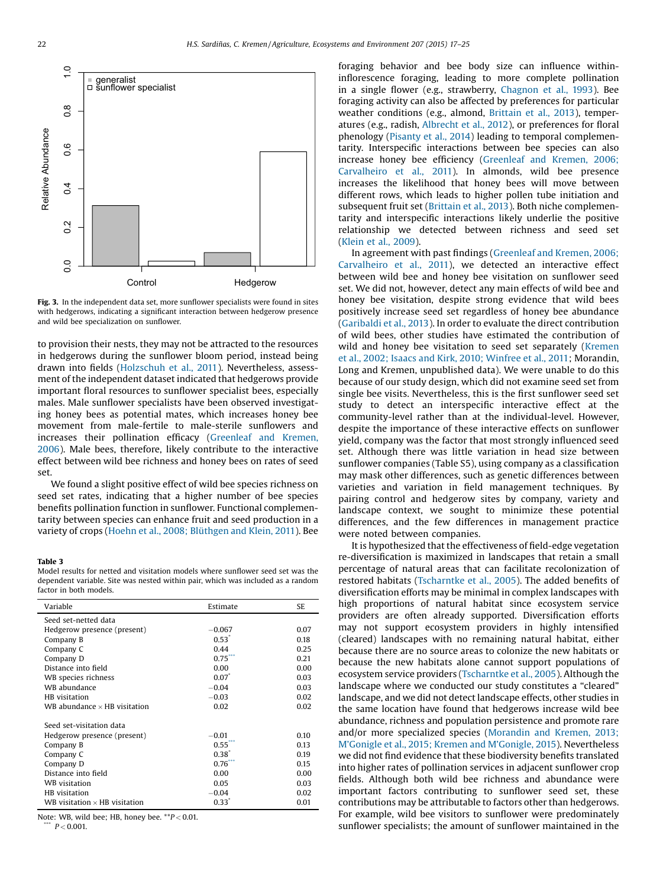<span id="page-5-0"></span>

Fig. 3. In the independent data set, more sunflower specialists were found in sites with hedgerows, indicating a significant interaction between hedgerow presence and wild bee specialization on sunflower.

to provision their nests, they may not be attracted to the resources in hedgerows during the sunflower bloom period, instead being drawn into fields ([Holzschuh](#page-7-0) et al., 2011). Nevertheless, assessment of the independent dataset indicated that hedgerows provide important floral resources to sunflower specialist bees, especially males. Male sunflower specialists have been observed investigating honey bees as potential mates, which increases honey bee movement from male-fertile to male-sterile sunflowers and increases their pollination efficacy [\(Greenleaf](#page-7-0) and Kremen, [2006](#page-7-0)). Male bees, therefore, likely contribute to the interactive effect between wild bee richness and honey bees on rates of seed set.

We found a slight positive effect of wild bee species richness on seed set rates, indicating that a higher number of bee species benefits pollination function in sunflower. Functional complementarity between species can enhance fruit and seed production in a variety of crops (Hoehn et al., 2008; [Blüthgen](#page-7-0) and Klein, 2011). Bee

## Table 3

Model results for netted and visitation models where sunflower seed set was the dependent variable. Site was nested within pair, which was included as a random factor in both models.

| Variable                             | Estimate         | SE   |
|--------------------------------------|------------------|------|
| Seed set-netted data                 |                  |      |
| Hedgerow presence (present)          | $-0.067$         | 0.07 |
| Company B                            | $0.53^{\degree}$ | 0.18 |
| Company C                            | 0.44             | 0.25 |
| Company D                            | 0.75             | 0.21 |
| Distance into field                  | 0.00             | 0.00 |
| WB species richness                  | $0.07^*$         | 0.03 |
| WB abundance                         | $-0.04$          | 0.03 |
| HB visitation                        | $-0.03$          | 0.02 |
| WB abundance $\times$ HB visitation  | 0.02             | 0.02 |
| Seed set-visitation data             |                  |      |
| Hedgerow presence (present)          | $-0.01$          | 0.10 |
| Company B                            | $0.55^{\circ}$   | 0.13 |
| Company C                            | $0.38^{*}$       | 019  |
| Company D                            | $0.76^{7}$       | 0.15 |
| Distance into field                  | 0.00             | 0.00 |
| <b>WB</b> visitation                 | 0.05             | 0.03 |
| HB visitation                        | $-0.04$          | 0.02 |
| WB visitation $\times$ HB visitation | $0.33^{*}$       | 0.01 |

Note: WB, wild bee: HB, honey bee.  $*P < 0.01$ .  $P < 0.001$ 

foraging behavior and bee body size can influence withininflorescence foraging, leading to more complete pollination in a single flower (e.g., strawberry, [Chagnon](#page-7-0) et al., 1993). Bee foraging activity can also be affected by preferences for particular weather conditions (e.g., almond, [Brittain](#page-7-0) et al., 2013), temperatures (e.g., radish, [Albrecht](#page-7-0) et al., 2012), or preferences for floral phenology ([Pisanty](#page-8-0) et al., 2014) leading to temporal complementarity. Interspecific interactions between bee species can also increase honey bee efficiency [\(Greenleaf](#page-7-0) and Kremen, 2006; [Carvalheiro](#page-7-0) et al., 2011). In almonds, wild bee presence increases the likelihood that honey bees will move between different rows, which leads to higher pollen tube initiation and subsequent fruit set [\(Brittain](#page-7-0) et al., 2013). Both niche complementarity and interspecific interactions likely underlie the positive relationship we detected between richness and seed set ([Klein](#page-7-0) et al., 2009).

In agreement with past findings [\(Greenleaf](#page-7-0) and Kremen, 2006; [Carvalheiro](#page-7-0) et al., 2011), we detected an interactive effect between wild bee and honey bee visitation on sunflower seed set. We did not, however, detect any main effects of wild bee and honey bee visitation, despite strong evidence that wild bees positively increase seed set regardless of honey bee abundance ([Garibaldi](#page-7-0) et al., 2013). In order to evaluate the direct contribution of wild bees, other studies have estimated the contribution of wild and honey bee visitation to seed set separately [\(Kremen](#page-7-0) et al., 2002; Isaacs and Kirk, 2010; [Winfree](#page-7-0) et al., 2011; Morandin, Long and Kremen, unpublished data). We were unable to do this because of our study design, which did not examine seed set from single bee visits. Nevertheless, this is the first sunflower seed set study to detect an interspecific interactive effect at the community-level rather than at the individual-level. However, despite the importance of these interactive effects on sunflower yield, company was the factor that most strongly influenced seed set. Although there was little variation in head size between sunflower companies (Table S5), using company as a classification may mask other differences, such as genetic differences between varieties and variation in field management techniques. By pairing control and hedgerow sites by company, variety and landscape context, we sought to minimize these potential differences, and the few differences in management practice were noted between companies.

It is hypothesized that the effectiveness of field-edge vegetation re-diversification is maximized in landscapes that retain a small percentage of natural areas that can facilitate recolonization of restored habitats ([Tscharntke](#page-8-0) et al., 2005). The added benefits of diversification efforts may be minimal in complex landscapes with high proportions of natural habitat since ecosystem service providers are often already supported. Diversification efforts may not support ecosystem providers in highly intensified (cleared) landscapes with no remaining natural habitat, either because there are no source areas to colonize the new habitats or because the new habitats alone cannot support populations of ecosystem service providers ([Tscharntke](#page-8-0) et al., 2005). Although the landscape where we conducted our study constitutes a "cleared" landscape, and we did not detect landscape effects, other studies in the same location have found that hedgerows increase wild bee abundance, richness and population persistence and promote rare and/or more specialized species ([Morandin](#page-7-0) and Kremen, 2013; M'Gonigle et al., 2015; Kremen and M'[Gonigle,](#page-7-0) 2015). Nevertheless we did not find evidence that these biodiversity benefits translated into higher rates of pollination services in adjacent sunflower crop fields. Although both wild bee richness and abundance were important factors contributing to sunflower seed set, these contributions may be attributable to factors other than hedgerows. For example, wild bee visitors to sunflower were predominately sunflower specialists; the amount of sunflower maintained in the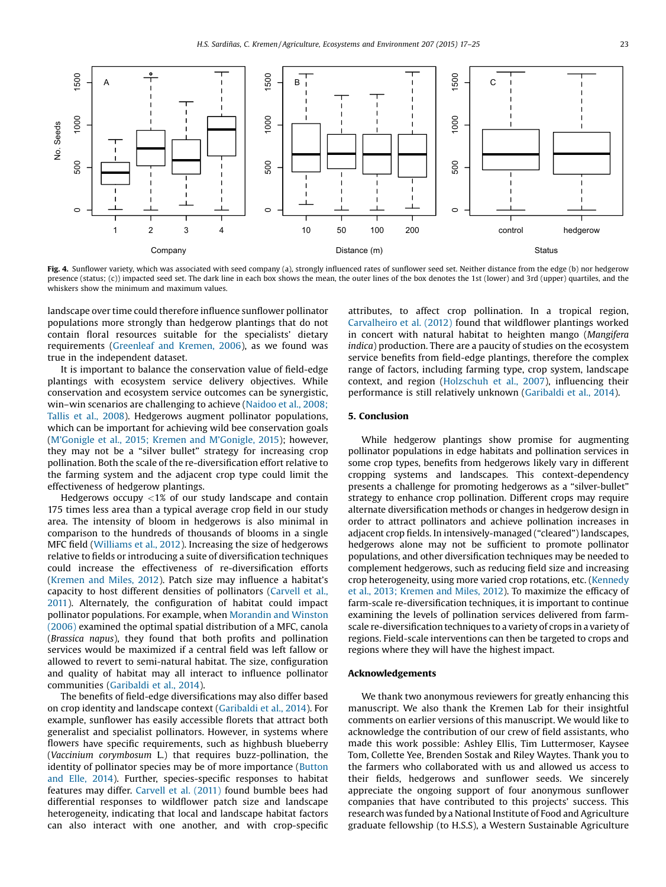<span id="page-6-0"></span>

Fig. 4. Sunflower variety, which was associated with seed company (a), strongly influenced rates of sunflower seed set. Neither distance from the edge (b) nor hedgerow presence (status; (c)) impacted seed set. The dark line in each box shows the mean, the outer lines of the box denotes the 1st (lower) and 3rd (upper) quartiles, and the whiskers show the minimum and maximum values.

landscape over time could therefore influence sunflower pollinator populations more strongly than hedgerow plantings that do not contain floral resources suitable for the specialists' dietary requirements ([Greenleaf](#page-7-0) and Kremen, 2006), as we found was true in the independent dataset.

It is important to balance the conservation value of field-edge plantings with ecosystem service delivery objectives. While conservation and ecosystem service outcomes can be synergistic, win–win scenarios are challenging to achieve ([Naidoo](#page-7-0) et al., 2008; [Tallis](#page-7-0) et al., 2008). Hedgerows augment pollinator populations, which can be important for achieving wild bee conservation goals (M'Gonigle et al., 2015; Kremen and M'[Gonigle,](#page-7-0) 2015); however, they may not be a "silver bullet" strategy for increasing crop pollination. Both the scale of the re-diversification effort relative to the farming system and the adjacent crop type could limit the effectiveness of hedgerow plantings.

Hedgerows occupy  $\langle 1\%$  of our study landscape and contain 175 times less area than a typical average crop field in our study area. The intensity of bloom in hedgerows is also minimal in comparison to the hundreds of thousands of blooms in a single MFC field ([Williams](#page-8-0) et al., 2012). Increasing the size of hedgerows relative to fields or introducing a suite of diversification techniques could increase the effectiveness of re-diversification efforts ([Kremen](#page-7-0) and Miles, 2012). Patch size may influence a habitat's capacity to host different densities of pollinators [\(Carvell](#page-7-0) et al., [2011\)](#page-7-0). Alternately, the configuration of habitat could impact pollinator populations. For example, when [Morandin](#page-7-0) and Winston [\(2006\)](#page-7-0) examined the optimal spatial distribution of a MFC, canola (Brassica napus), they found that both profits and pollination services would be maximized if a central field was left fallow or allowed to revert to semi-natural habitat. The size, configuration and quality of habitat may all interact to influence pollinator communities ([Garibaldi](#page-7-0) et al., 2014).

The benefits of field-edge diversifications may also differ based on crop identity and landscape context ([Garibaldi](#page-7-0) et al., 2014). For example, sunflower has easily accessible florets that attract both generalist and specialist pollinators. However, in systems where flowers have specific requirements, such as highbush blueberry (Vaccinium corymbosum L.) that requires buzz-pollination, the identity of pollinator species may be of more importance ([Button](#page-7-0) and Elle, [2014](#page-7-0)). Further, species-specific responses to habitat features may differ. [Carvell](#page-7-0) et al. (2011) found bumble bees had differential responses to wildflower patch size and landscape heterogeneity, indicating that local and landscape habitat factors can also interact with one another, and with crop-specific attributes, to affect crop pollination. In a tropical region, [Carvalheiro](#page-7-0) et al. (2012) found that wildflower plantings worked in concert with natural habitat to heighten mango (Mangifera indica) production. There are a paucity of studies on the ecosystem service benefits from field-edge plantings, therefore the complex range of factors, including farming type, crop system, landscape context, and region ([Holzschuh](#page-7-0) et al., 2007), influencing their performance is still relatively unknown ([Garibaldi](#page-7-0) et al., 2014).

## 5. Conclusion

While hedgerow plantings show promise for augmenting pollinator populations in edge habitats and pollination services in some crop types, benefits from hedgerows likely vary in different cropping systems and landscapes. This context-dependency presents a challenge for promoting hedgerows as a "silver-bullet" strategy to enhance crop pollination. Different crops may require alternate diversification methods or changes in hedgerow design in order to attract pollinators and achieve pollination increases in adjacent crop fields. In intensively-managed ("cleared") landscapes, hedgerows alone may not be sufficient to promote pollinator populations, and other diversification techniques may be needed to complement hedgerows, such as reducing field size and increasing crop heterogeneity, using more varied crop rotations, etc. ([Kennedy](#page-7-0) et al., 2013; [Kremen](#page-7-0) and Miles, 2012). To maximize the efficacy of farm-scale re-diversification techniques, it is important to continue examining the levels of pollination services delivered from farmscale re-diversification techniques to a variety of crops in a variety of regions. Field-scale interventions can then be targeted to crops and regions where they will have the highest impact.

## Acknowledgements

We thank two anonymous reviewers for greatly enhancing this manuscript. We also thank the Kremen Lab for their insightful comments on earlier versions of this manuscript. We would like to acknowledge the contribution of our crew of field assistants, who made this work possible: Ashley Ellis, Tim Luttermoser, Kaysee Tom, Collette Yee, Brenden Sostak and Riley Waytes. Thank you to the farmers who collaborated with us and allowed us access to their fields, hedgerows and sunflower seeds. We sincerely appreciate the ongoing support of four anonymous sunflower companies that have contributed to this projects' success. This research was funded by a National Institute of Food and Agriculture graduate fellowship (to H.S.S), a Western Sustainable Agriculture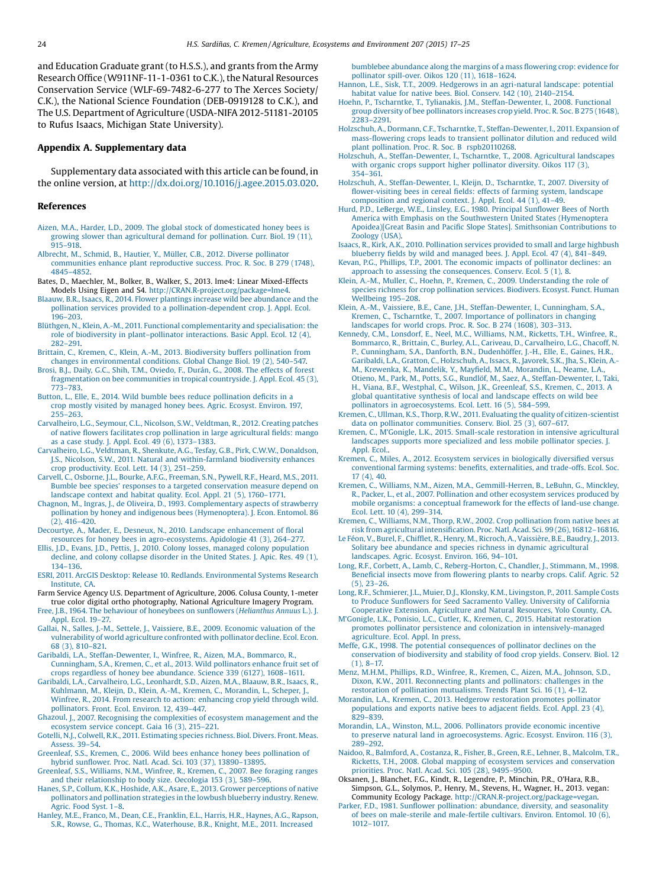<span id="page-7-0"></span>and Education Graduate grant (to H.S.S.), and grants from the Army Research Office (W911NF-11-1-0361 to C.K.), the Natural Resources Conservation Service (WLF-69-7482-6-277 to The Xerces Society/ C.K.), the National Science Foundation (DEB-0919128 to C.K.), and The U.S. Department of Agriculture (USDA-NIFA 2012-51181-20105 to Rufus Isaacs, Michigan State University).

## Appendix A. Supplementary data

Supplementary data associated with this article can be found, in the online version, at [http://dx.doi.org/10.1016/j.agee.2015.03.020.](http://dx.doi.org/10.1016/j.agee.2015.03.020)

#### References

- Aizen, M.A., Harder, L.D., 2009. The global stock of [domesticated](http://refhub.elsevier.com/S0167-8809(15)00104-8/sbref0005) honey bees is growing slower than [agricultural](http://refhub.elsevier.com/S0167-8809(15)00104-8/sbref0005) demand for pollination. Curr. Biol. 19 (11), 915–[918](http://refhub.elsevier.com/S0167-8809(15)00104-8/sbref0005).
- Albrecht, M., Schmid, B., Hautier, Y., Müller, C.B., 2012. Diverse [pollinator](http://refhub.elsevier.com/S0167-8809(15)00104-8/sbref0010) [communities](http://refhub.elsevier.com/S0167-8809(15)00104-8/sbref0010) enhance plant reproductive success. Proc. R. Soc. B 279 (1748), 4845–[4852](http://refhub.elsevier.com/S0167-8809(15)00104-8/sbref0010).
- Bates, D., Maechler, M., Bolker, B., Walker, S., 2013. lme4: Linear Mixed-Effects Models Using Eigen and S4. <http://CRAN.R-project.org/package=lme4>.
- Blaauw, B.R., Isaacs, R., 2014. Flower plantings increase wild bee [abundance](http://refhub.elsevier.com/S0167-8809(15)00104-8/sbref0020) and the pollination services provided to a [pollination-dependent](http://refhub.elsevier.com/S0167-8809(15)00104-8/sbref0020) crop. J. Appl. Ecol. 196–[203](http://refhub.elsevier.com/S0167-8809(15)00104-8/sbref0020).
- Blüthgen, N., Klein, A.-M., 2011. Functional [complementarity](http://refhub.elsevier.com/S0167-8809(15)00104-8/sbref0025) and specialisation: the role of biodiversity in plant–pollinator [interactions.](http://refhub.elsevier.com/S0167-8809(15)00104-8/sbref0025) Basic Appl. Ecol. 12 (4), [282](http://refhub.elsevier.com/S0167-8809(15)00104-8/sbref0025)–291.
- Brittain, C., Kremen, C., Klein, A.-M., 2013. [Biodiversity](http://refhub.elsevier.com/S0167-8809(15)00104-8/sbref0030) buffers pollination from changes in [environmental](http://refhub.elsevier.com/S0167-8809(15)00104-8/sbref0030) conditions. Global Change Biol. 19 (2), 540–547.
- Brosi, B.J., Daily, G.C., Shih, T.M., [Oviedo,](http://refhub.elsevier.com/S0167-8809(15)00104-8/sbref0035) F., Durán, G., 2008. The effects of forest [fragmentation](http://refhub.elsevier.com/S0167-8809(15)00104-8/sbref0035) on bee communities in tropical countryside. J. Appl. Ecol. 45 (3), 773–[783](http://refhub.elsevier.com/S0167-8809(15)00104-8/sbref0035).
- Button, L., Elle, E., 2014. Wild bumble bees reduce [pollination](http://refhub.elsevier.com/S0167-8809(15)00104-8/sbref0040) deficits in a crop mostly visited by [managed](http://refhub.elsevier.com/S0167-8809(15)00104-8/sbref0040) honey bees. Agric. Ecosyst. Environ. 197, 255–[263.](http://refhub.elsevier.com/S0167-8809(15)00104-8/sbref0040)
- [Carvalheiro,](http://refhub.elsevier.com/S0167-8809(15)00104-8/sbref0045) L.G., Seymour, C.L., Nicolson, S.W., Veldtman, R., 2012. Creating patches of native flowers facilitates crop pollination in large [agricultural](http://refhub.elsevier.com/S0167-8809(15)00104-8/sbref0045) fields: mango as a case [study.](http://refhub.elsevier.com/S0167-8809(15)00104-8/sbref0045) J. Appl. Ecol. 49 (6), 1373–1383.
- [Carvalheiro,](http://refhub.elsevier.com/S0167-8809(15)00104-8/sbref0050) L.G., Veldtman, R., Shenkute, A.G., Tesfay, G.B., Pirk, C.W.W., Donaldson, J.S., Nicolson, S.W., 2011. Natural and [within-farmland](http://refhub.elsevier.com/S0167-8809(15)00104-8/sbref0050) biodiversity enhances crop [productivity.](http://refhub.elsevier.com/S0167-8809(15)00104-8/sbref0050) Ecol. Lett. 14 (3), 251–259. Carvell, C., Osborne, J.L., Bourke, A.F.G., [Freeman,](http://refhub.elsevier.com/S0167-8809(15)00104-8/sbref0055) S.N., Pywell, R.F., Heard, M.S., 2011.
- Bumble bee species' responses to a targeted [conservation](http://refhub.elsevier.com/S0167-8809(15)00104-8/sbref0055) measure depend on [landscape](http://refhub.elsevier.com/S0167-8809(15)00104-8/sbref0055) context and habitat quality. Ecol. Appl. 21 (5), 1760–1771.
- Chagnon, M., Ingras, J., de Oliveira, D., 1993. [Complementary](http://refhub.elsevier.com/S0167-8809(15)00104-8/sbref0060) aspects of strawberry pollination by honey and indigenous bees [\(Hymenoptera\).](http://refhub.elsevier.com/S0167-8809(15)00104-8/sbref0060) J. Econ. Entomol. 86 (2), 416–[420](http://refhub.elsevier.com/S0167-8809(15)00104-8/sbref0060).
- Decourtye, A., Mader, E., Desneux, N., 2010. Landscape [enhancement](http://refhub.elsevier.com/S0167-8809(15)00104-8/sbref0065) of floral resources for honey bees in [agro-ecosystems.](http://refhub.elsevier.com/S0167-8809(15)00104-8/sbref0065) Apidologie 41 (3), 264–277.
- Ellis, J.D., Evans, J.D., Pettis, J., 2010. Colony losses, managed colony [population](http://refhub.elsevier.com/S0167-8809(15)00104-8/sbref0070) decline, and colony collapse [disorder](http://refhub.elsevier.com/S0167-8809(15)00104-8/sbref0070) in the United States. J. Apic. Res. 49 (1), 134–[136.](http://refhub.elsevier.com/S0167-8809(15)00104-8/sbref0070)
- ESRI, 2011. ArcGIS Desktop: Release 10. Redlands. [Environmental](http://refhub.elsevier.com/S0167-8809(15)00104-8/sbref0075) Systems Research [Institute,](http://refhub.elsevier.com/S0167-8809(15)00104-8/sbref0075) CA.
- Farm Service Agency U.S. Department of Agriculture, 2006. Colusa County, 1-meter true color digital ortho photography, National Agriculture Imagery Program.
- Free, J.B., 1964. The behaviour of [honeybees](http://refhub.elsevier.com/S0167-8809(15)00104-8/sbref0085) on sunflowers (Helianthus Annuus L.). J. [Appl.](http://refhub.elsevier.com/S0167-8809(15)00104-8/sbref0085) Ecol. 19–27.
- Gallai, N., Salles, J.-M., Settele, J., Vaissiere, B.E., 2009. [Economic](http://refhub.elsevier.com/S0167-8809(15)00104-8/sbref0090) valuation of the [vulnerability](http://refhub.elsevier.com/S0167-8809(15)00104-8/sbref0090) of world agriculture confronted with pollinator decline. Ecol. Econ. 68 (3), [810](http://refhub.elsevier.com/S0167-8809(15)00104-8/sbref0090)–821.
- Garibaldi, L.A., [Steffan-Dewenter,](http://refhub.elsevier.com/S0167-8809(15)00104-8/sbref0095) I., Winfree, R., Aizen, M.A., Bommarco, R., [Cunningham,](http://refhub.elsevier.com/S0167-8809(15)00104-8/sbref0095) S.A., Kremen, C., et al., 2013. Wild pollinators enhance fruit set of crops regardless of honey bee [abundance.](http://refhub.elsevier.com/S0167-8809(15)00104-8/sbref0095) Science 339 (6127), 1608–1611.
- Garibaldi, L.A., [Carvalheiro,](http://refhub.elsevier.com/S0167-8809(15)00104-8/sbref0100) L.G., Leonhardt, S.D., Aizen, M.A., Blaauw, B.R., Isaacs, R., [Kuhlmann,](http://refhub.elsevier.com/S0167-8809(15)00104-8/sbref0100) M., Kleijn, D., Klein, A.-M., Kremen, C., Morandin, L., Scheper, J., Winfree, R., 2014. From research to action: [enhancing](http://refhub.elsevier.com/S0167-8809(15)00104-8/sbref0100) crop yield through wild. [pollinators.](http://refhub.elsevier.com/S0167-8809(15)00104-8/sbref0100) Front. Ecol. Environ. 12, 439–447.
- Ghazoul, J., 2007. Recognising the complexities of ecosystem [management](http://refhub.elsevier.com/S0167-8809(15)00104-8/sbref0105) and the [ecosystem](http://refhub.elsevier.com/S0167-8809(15)00104-8/sbref0105) service concept. Gaia 16 (3), 215–221.
- Gotelli, N.J., Colwell, R.K., 2011. [Estimating](http://refhub.elsevier.com/S0167-8809(15)00104-8/sbref0110) species richness. Biol. Divers. Front. Meas. [Assess.](http://refhub.elsevier.com/S0167-8809(15)00104-8/sbref0110) 39–54.
- Greenleaf, S.S., Kremen, C., 2006. Wild bees enhance honey bees [pollination](http://refhub.elsevier.com/S0167-8809(15)00104-8/sbref0115) of [hybrid](http://refhub.elsevier.com/S0167-8809(15)00104-8/sbref0115) sunflower. Proc. Natl. Acad. Sci. 103 (37), 13890–13895.
- [Greenleaf,](http://refhub.elsevier.com/S0167-8809(15)00104-8/sbref0120) S.S., Williams, N.M., Winfree, R., Kremen, C., 2007. Bee foraging ranges and their [relationship](http://refhub.elsevier.com/S0167-8809(15)00104-8/sbref0120) to body size. Oecologia 153 (3), 589–596.
- Hanes, S.P., Collum, K.K., Hoshide, A.K., Asare, E., 2013. Grower [perceptions](http://refhub.elsevier.com/S0167-8809(15)00104-8/sbref0125) of native pollinators and [pollination](http://refhub.elsevier.com/S0167-8809(15)00104-8/sbref0125) strategies in the lowbush blueberry industry. Renew. [Agric.](http://refhub.elsevier.com/S0167-8809(15)00104-8/sbref0125) Food Syst. 1–8.
- Hanley, M.E., Franco, M., Dean, C.E., [Franklin,](http://refhub.elsevier.com/S0167-8809(15)00104-8/sbref0130) E.L., Harris, H.R., Haynes, A.G., Rapson, S.R., Rowse, G., Thomas, K.C., [Waterhouse,](http://refhub.elsevier.com/S0167-8809(15)00104-8/sbref0130) B.R., Knight, M.E., 2011. Increased

[bumblebee](http://refhub.elsevier.com/S0167-8809(15)00104-8/sbref0130) abundance along the margins of a mass flowering crop: evidence for pollinator [spill-over.](http://refhub.elsevier.com/S0167-8809(15)00104-8/sbref0130) Oikos 120 (11), 1618–1624.

- Hannon, L.E., Sisk, T.T., 2009. Hedgerows in an [agri-natural](http://refhub.elsevier.com/S0167-8809(15)00104-8/sbref0135) landscape: potential habitat value for native bees. Biol. [Conserv.](http://refhub.elsevier.com/S0167-8809(15)00104-8/sbref0135) 142 (10), 2140–2154.
- Hoehn, P., Tscharntke, T., Tylianakis, J.M., [Steffan-Dewenter,](http://refhub.elsevier.com/S0167-8809(15)00104-8/sbref0140) I., 2008. Functional group diversity of bee [pollinators](http://refhub.elsevier.com/S0167-8809(15)00104-8/sbref0140) increases crop yield. Proc. R. Soc. B 275 (1648), 2283–[2291.](http://refhub.elsevier.com/S0167-8809(15)00104-8/sbref0140)
- Holzschuh, A., Dormann, C.F., Tscharntke, T., [Steffan-Dewenter,](http://refhub.elsevier.com/S0167-8809(15)00104-8/sbref0145) I., 2011. Expansion of mass-flowering crops leads to transient [pollinator](http://refhub.elsevier.com/S0167-8809(15)00104-8/sbref0145) dilution and reduced wild plant pollination. Proc. R. Soc. B [rspb20110268](http://refhub.elsevier.com/S0167-8809(15)00104-8/sbref0145).
- Holzschuh, A., [Steffan-Dewenter,](http://refhub.elsevier.com/S0167-8809(15)00104-8/sbref0150) I., Tscharntke, T., 2008. Agricultural landscapes with organic crops support higher [pollinator](http://refhub.elsevier.com/S0167-8809(15)00104-8/sbref0150) diversity. Oikos 117 (3), [354](http://refhub.elsevier.com/S0167-8809(15)00104-8/sbref0150)–361.
- Holzschuh, A., [Steffan-Dewenter,](http://refhub.elsevier.com/S0167-8809(15)00104-8/sbref0155) I., Kleijn, D., Tscharntke, T., 2007. Diversity of fl[ower-visiting](http://refhub.elsevier.com/S0167-8809(15)00104-8/sbref0155) bees in cereal fields: effects of farming system, landscape [composition](http://refhub.elsevier.com/S0167-8809(15)00104-8/sbref0155) and regional context. J. Appl. Ecol. 44 (1), 41–49.
- Hurd, P.D., LeBerge, W.E., Linsley, E.G., 1980. [Principal](http://refhub.elsevier.com/S0167-8809(15)00104-8/sbref0160) Sunflower Bees of North America with Emphasis on the Southwestern United States [\(Hymenoptera](http://refhub.elsevier.com/S0167-8809(15)00104-8/sbref0160) [Apoidea\)\[Great](http://refhub.elsevier.com/S0167-8809(15)00104-8/sbref0160) Basin and Pacific Slope States]. Smithsonian Contributions to [Zoology](http://refhub.elsevier.com/S0167-8809(15)00104-8/sbref0160) (USA).
- Isaacs, R., Kirk, A.K., 2010. [Pollination](http://refhub.elsevier.com/S0167-8809(15)00104-8/sbref0165) services provided to small and large highbush [blueberry](http://refhub.elsevier.com/S0167-8809(15)00104-8/sbref0165) fields by wild and managed bees. J. Appl. Ecol. 47 (4), 841–849.
- Kevan, P.G., Phillips, T.P., 2001. The economic impacts of [pollinator](http://refhub.elsevier.com/S0167-8809(15)00104-8/sbref0170) declines: an approach to assessing the [consequences.](http://refhub.elsevier.com/S0167-8809(15)00104-8/sbref0170) Conserv. Ecol. 5 (1), 8.
- Klein, A.-M., Muller, C., Hoehn, P., Kremen, C., 2009. [Understanding](http://refhub.elsevier.com/S0167-8809(15)00104-8/sbref0175) the role of species richness for crop [pollination](http://refhub.elsevier.com/S0167-8809(15)00104-8/sbref0175) services. Biodivers. Ecosyst. Funct. Human [Wellbeing](http://refhub.elsevier.com/S0167-8809(15)00104-8/sbref0175) 195–208.
- Klein, A.-M., Vaissiere, B.E., Cane, J.H., [Steffan-Dewenter,](http://refhub.elsevier.com/S0167-8809(15)00104-8/sbref0180) I., Cunningham, S.A., Kremen, C., Tscharntke, T., 2007. [Importance](http://refhub.elsevier.com/S0167-8809(15)00104-8/sbref0180) of pollinators in changing [landscapes](http://refhub.elsevier.com/S0167-8809(15)00104-8/sbref0180) for world crops. Proc. R. Soc. B 274 (1608), 303–313.
- Kennedy, C.M., Lonsdorf, E., Neel, M.C., [Williams,](http://refhub.elsevier.com/S0167-8809(15)00104-8/sbref0185) N.M., Ricketts, T.H., Winfree, R., Bommarco, R., Brittain, C., Burley, A.L., Cariveau, D., [Carvalheiro,](http://refhub.elsevier.com/S0167-8809(15)00104-8/sbref0185) L.G., Chacoff, N. P., [Cunningham,](http://refhub.elsevier.com/S0167-8809(15)00104-8/sbref0185) S.A., Danforth, B.N., Dudenhöffer, J.-H., Elle, E., Gaines, H.R., Garibaldi, L.A., Gratton, C., [Holzschuh,](http://refhub.elsevier.com/S0167-8809(15)00104-8/sbref0185) A., Issacs, R., Javorek, S.K., Jha, S., Klein, A.- M., [Krewenka,](http://refhub.elsevier.com/S0167-8809(15)00104-8/sbref0185) K., Mandelik, Y., Mayfield, M.M., Morandin, L., Neame, L.A., Otieno, M., Park, M., Potts, S.G., Rundlöf, M., Saez, A., [Steffan-Dewenter,](http://refhub.elsevier.com/S0167-8809(15)00104-8/sbref0185) I., Taki, H., Viana, B.F., Westphal, C., Wilson, J.K., [Greenleaf,](http://refhub.elsevier.com/S0167-8809(15)00104-8/sbref0185) S.S., Kremen, C., 2013. A global [quantitative](http://refhub.elsevier.com/S0167-8809(15)00104-8/sbref0185) synthesis of local and landscape effects on wild bee pollinators in [agroecosystems.](http://refhub.elsevier.com/S0167-8809(15)00104-8/sbref0185) Ecol. Lett. 16 (5), 584–599.
- Kremen, C., Ullman, K.S., Thorp, R.W., 2011. Evaluating the quality of [citizen-scientist](http://refhub.elsevier.com/S0167-8809(15)00104-8/sbref0190) data on pollinator [communities.](http://refhub.elsevier.com/S0167-8809(15)00104-8/sbref0190) Conserv. Biol. 25 (3), 607–617.
- Kremen, C., M'Gonigle, L.K., 2015. Small-scale restoration in intensive [agricultural](http://refhub.elsevier.com/S0167-8809(15)00104-8/sbref0195) landscapes supports more [specialized](http://refhub.elsevier.com/S0167-8809(15)00104-8/sbref0195) and less mobile pollinator species. J. [Appl.](http://refhub.elsevier.com/S0167-8809(15)00104-8/sbref0195) Ecol..
- Kremen, C., Miles, A., 2012. Ecosystem services in [biologically](http://refhub.elsevier.com/S0167-8809(15)00104-8/sbref0200) diversified versus conventional farming systems: benefits, [externalities,](http://refhub.elsevier.com/S0167-8809(15)00104-8/sbref0200) and trade-offs. Ecol. Soc. 17 [\(4\),](http://refhub.elsevier.com/S0167-8809(15)00104-8/sbref0200) 40.
- Kremen, C., Williams, N.M., Aizen, M.A., [Gemmill-Herren,](http://refhub.elsevier.com/S0167-8809(15)00104-8/sbref0205) B., LeBuhn, G., Minckley, R., Packer, L., et al., 2007. [Pollination](http://refhub.elsevier.com/S0167-8809(15)00104-8/sbref0205) and other ecosystem services produced by mobile [organisms:](http://refhub.elsevier.com/S0167-8809(15)00104-8/sbref0205) a conceptual framework for the effects of land-use change. [Ecol.](http://refhub.elsevier.com/S0167-8809(15)00104-8/sbref0205) Lett. 10 (4), 299–314.
- Kremen, C., Williams, N.M., Thorp, R.W., 2002. Crop [pollination](http://refhub.elsevier.com/S0167-8809(15)00104-8/sbref0210) from native bees at risk from [agricultural](http://refhub.elsevier.com/S0167-8809(15)00104-8/sbref0210) intensification. Proc. Natl. Acad. Sci. 99 (26), 16812–16816.
- Le Féon, V., Burel, F., Chifflet, R., Henry, M., Ricroch, A., [Vaissière,](http://refhub.elsevier.com/S0167-8809(15)00104-8/sbref0215) B.E., Baudry, J., 2013. Solitary bee abundance and species richness in dynamic [agricultural](http://refhub.elsevier.com/S0167-8809(15)00104-8/sbref0215) [landscapes.](http://refhub.elsevier.com/S0167-8809(15)00104-8/sbref0215) Agric. Ecosyst. Environ. 166, 94–101.
- Long, R.F., Corbett, A., Lamb, C., [Reberg-Horton,](http://refhub.elsevier.com/S0167-8809(15)00104-8/sbref0220) C., Chandler, J., Stimmann, M., 1998. Beneficial insects move from fl[owering](http://refhub.elsevier.com/S0167-8809(15)00104-8/sbref0220) plants to nearby crops. Calif. Agric. 52  $(5)$ , 23–26.
- Long, R.F., Schmierer, J.L., Muier, D.J., Klonsky, K.M., [Livingston,](http://refhub.elsevier.com/S0167-8809(15)00104-8/sbref0225) P., 2011. Sample Costs to Produce Sunflowers for Seed [Sacramento](http://refhub.elsevier.com/S0167-8809(15)00104-8/sbref0225) Valley. University of California
- [Cooperative](http://refhub.elsevier.com/S0167-8809(15)00104-8/sbref0225) Extension. Agriculture and Natural Resources, Yolo County, CA. M'Gonigle, L.K., Ponisio, L.C., Cutler, K., Kremen, C., 2015. Habitat [restoration](http://refhub.elsevier.com/S0167-8809(15)00104-8/sbref0230) promotes pollinator persistence and colonization in [intensively-managed](http://refhub.elsevier.com/S0167-8809(15)00104-8/sbref0230) [agriculture.](http://refhub.elsevier.com/S0167-8809(15)00104-8/sbref0230) Ecol. Appl. In press.
- Meffe, G.K., 1998. The potential [consequences](http://refhub.elsevier.com/S0167-8809(15)00104-8/sbref0235) of pollinator declines on the [conservation](http://refhub.elsevier.com/S0167-8809(15)00104-8/sbref0235) of biodiversity and stability of food crop yields. Conserv. Biol. 12 [\(1\),](http://refhub.elsevier.com/S0167-8809(15)00104-8/sbref0235) 8–17.
- Menz, M.H.M., Phillips, R.D., [Winfree,](http://refhub.elsevier.com/S0167-8809(15)00104-8/sbref0240) R., Kremen, C., Aizen, M.A., Johnson, S.D., Dixon, K.W., 2011. [Reconnecting](http://refhub.elsevier.com/S0167-8809(15)00104-8/sbref0240) plants and pollinators: challenges in the restoration of pollination [mutualisms.](http://refhub.elsevier.com/S0167-8809(15)00104-8/sbref0240) Trends Plant Sci. 16 (1), 4–12.
- Morandin, L.A., Kremen, C., 2013. Hedgerow [restoration](http://refhub.elsevier.com/S0167-8809(15)00104-8/sbref0245) promotes pollinator [populations](http://refhub.elsevier.com/S0167-8809(15)00104-8/sbref0245) and exports native bees to adjacent fields. Ecol. Appl. 23 (4), 829–[839.](http://refhub.elsevier.com/S0167-8809(15)00104-8/sbref0245)
- Morandin, L.A., Winston, M.L., 2006. [Pollinators](http://refhub.elsevier.com/S0167-8809(15)00104-8/sbref0250) provide economic incentive to preserve natural land in [agroecosystems.](http://refhub.elsevier.com/S0167-8809(15)00104-8/sbref0250) Agric. Ecosyst. Environ. 116 (3), 289–[292.](http://refhub.elsevier.com/S0167-8809(15)00104-8/sbref0250)
- Naidoo, R., [Balmford,](http://refhub.elsevier.com/S0167-8809(15)00104-8/sbref0255) A., Costanza, R., Fisher, B., Green, R.E., Lehner, B., Malcolm, T.R., Ricketts, T.H., 2008. Global mapping of ecosystem services and [conservation](http://refhub.elsevier.com/S0167-8809(15)00104-8/sbref0255) [priorities.](http://refhub.elsevier.com/S0167-8809(15)00104-8/sbref0255) Proc. Natl. Acad. Sci. 105 (28), 9495–9500.
- Oksanen, J., Blanchet, F.G., Kindt, R., Legendre, P., Minchin, P.R., O'Hara, R.B., Simpson, G.L., Solymos, P., Henry, M., Stevens, H., Wagner, H., 2013. vegan: Community Ecology Package. <http://CRAN.R-project.org/package=vegan>.
- Parker, F.D., 1981. Sunflower [pollination:](http://refhub.elsevier.com/S0167-8809(15)00104-8/sbref0265) abundance, diversity, and seasonality of bees on [male-sterile](http://refhub.elsevier.com/S0167-8809(15)00104-8/sbref0265) and male-fertile cultivars. Environ. Entomol. 10 (6), [1012](http://refhub.elsevier.com/S0167-8809(15)00104-8/sbref0265)–1017.